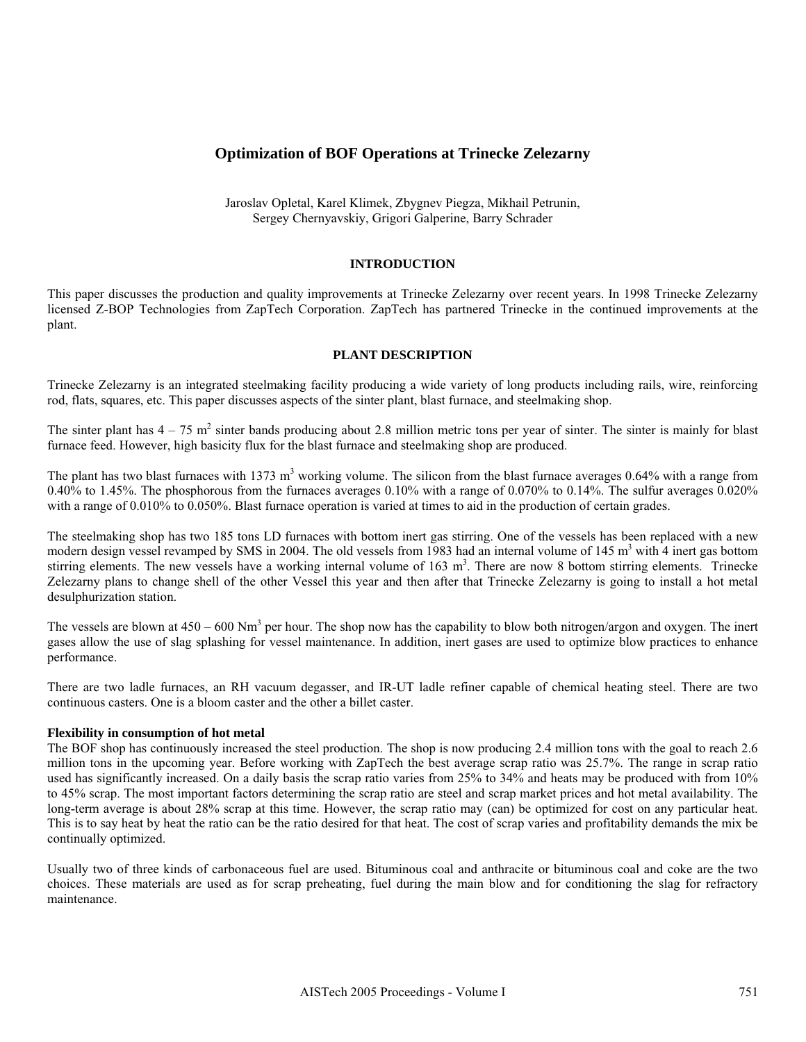# **Optimization of BOF Operations at Trinecke Zelezarny**

Jaroslav Opletal, Karel Klimek, Zbygnev Piegza, Mikhail Petrunin, Sergey Chernyavskiy, Grigori Galperine, Barry Schrader

### **INTRODUCTION**

This paper discusses the production and quality improvements at Trinecke Zelezarny over recent years. In 1998 Trinecke Zelezarny licensed Z-BOP Technologies from ZapTech Corporation. ZapTech has partnered Trinecke in the continued improvements at the plant.

#### **PLANT DESCRIPTION**

Trinecke Zelezarny is an integrated steelmaking facility producing a wide variety of long products including rails, wire, reinforcing rod, flats, squares, etc. This paper discusses aspects of the sinter plant, blast furnace, and steelmaking shop.

The sinter plant has  $4 - 75$  m<sup>2</sup> sinter bands producing about 2.8 million metric tons per year of sinter. The sinter is mainly for blast furnace feed. However, high basicity flux for the blast furnace and steelmaking shop are produced.

The plant has two blast furnaces with 1373 m<sup>3</sup> working volume. The silicon from the blast furnace averages  $0.64\%$  with a range from 0.40% to 1.45%. The phosphorous from the furnaces averages 0.10% with a range of 0.070% to 0.14%. The sulfur averages 0.020% with a range of 0.010% to 0.050%. Blast furnace operation is varied at times to aid in the production of certain grades.

The steelmaking shop has two 185 tons LD furnaces with bottom inert gas stirring. One of the vessels has been replaced with a new modern design vessel revamped by SMS in 2004. The old vessels from 1983 had an internal volume of 145 m<sup>3</sup> with 4 inert gas bottom stirring elements. The new vessels have a working internal volume of  $163 \text{ m}^3$ . There are now 8 bottom stirring elements. Trinecke Zelezarny plans to change shell of the other Vessel this year and then after that Trinecke Zelezarny is going to install a hot metal desulphurization station.

The vessels are blown at  $450 - 600$  Nm<sup>3</sup> per hour. The shop now has the capability to blow both nitrogen/argon and oxygen. The inert gases allow the use of slag splashing for vessel maintenance. In addition, inert gases are used to optimize blow practices to enhance performance.

There are two ladle furnaces, an RH vacuum degasser, and IR-UT ladle refiner capable of chemical heating steel. There are two continuous casters. One is a bloom caster and the other a billet caster.

#### **Flexibility in consumption of hot metal**

The BOF shop has continuously increased the steel production. The shop is now producing 2.4 million tons with the goal to reach 2.6 million tons in the upcoming year. Before working with ZapTech the best average scrap ratio was 25.7%. The range in scrap ratio used has significantly increased. On a daily basis the scrap ratio varies from 25% to 34% and heats may be produced with from 10% to 45% scrap. The most important factors determining the scrap ratio are steel and scrap market prices and hot metal availability. The long-term average is about 28% scrap at this time. However, the scrap ratio may (can) be optimized for cost on any particular heat. This is to say heat by heat the ratio can be the ratio desired for that heat. The cost of scrap varies and profitability demands the mix be continually optimized.

Usually two of three kinds of carbonaceous fuel are used. Bituminous coal and anthracite or bituminous coal and coke are the two choices. These materials are used as for scrap preheating, fuel during the main blow and for conditioning the slag for refractory maintenance.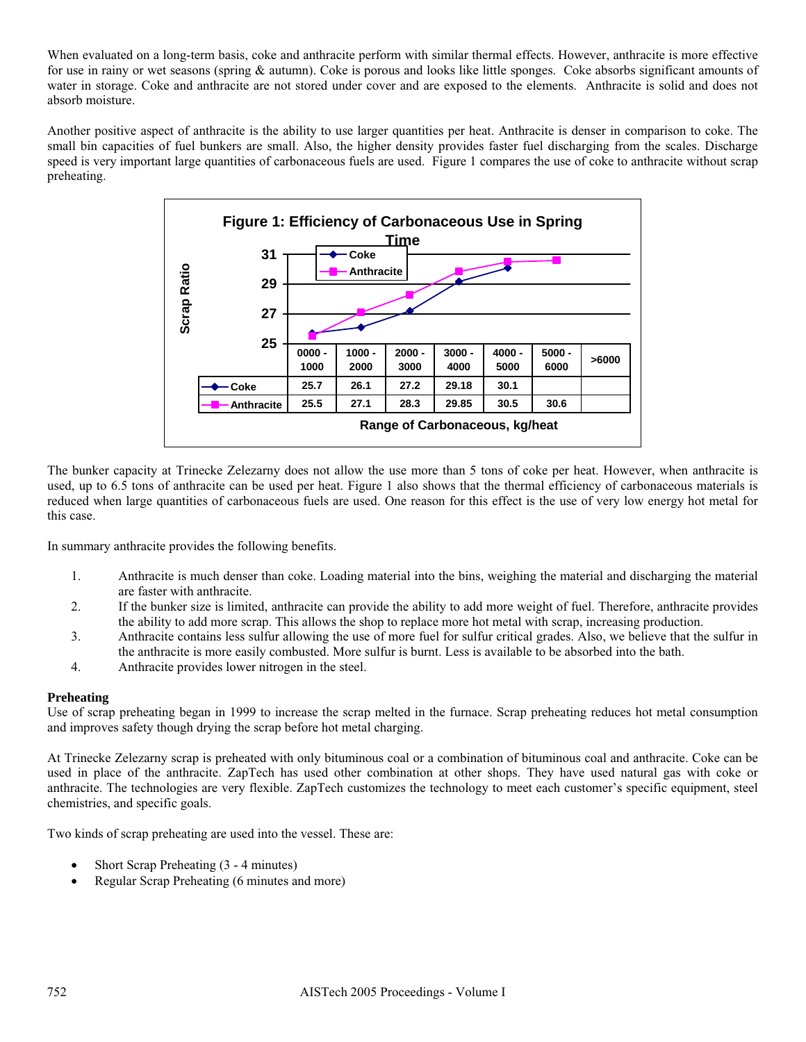When evaluated on a long-term basis, coke and anthracite perform with similar thermal effects. However, anthracite is more effective for use in rainy or wet seasons (spring & autumn). Coke is porous and looks like little sponges. Coke absorbs significant amounts of water in storage. Coke and anthracite are not stored under cover and are exposed to the elements. Anthracite is solid and does not absorb moisture.

Another positive aspect of anthracite is the ability to use larger quantities per heat. Anthracite is denser in comparison to coke. The small bin capacities of fuel bunkers are small. Also, the higher density provides faster fuel discharging from the scales. Discharge speed is very important large quantities of carbonaceous fuels are used. Figure 1 compares the use of coke to anthracite without scrap preheating.



The bunker capacity at Trinecke Zelezarny does not allow the use more than 5 tons of coke per heat. However, when anthracite is used, up to 6.5 tons of anthracite can be used per heat. Figure 1 also shows that the thermal efficiency of carbonaceous materials is reduced when large quantities of carbonaceous fuels are used. One reason for this effect is the use of very low energy hot metal for this case.

In summary anthracite provides the following benefits.

- 1. Anthracite is much denser than coke. Loading material into the bins, weighing the material and discharging the material are faster with anthracite.
- 2. If the bunker size is limited, anthracite can provide the ability to add more weight of fuel. Therefore, anthracite provides the ability to add more scrap. This allows the shop to replace more hot metal with scrap, increasing production.
- 3. Anthracite contains less sulfur allowing the use of more fuel for sulfur critical grades. Also, we believe that the sulfur in the anthracite is more easily combusted. More sulfur is burnt. Less is available to be absorbed into the bath.
- 4. Anthracite provides lower nitrogen in the steel.

### **Preheating**

Use of scrap preheating began in 1999 to increase the scrap melted in the furnace. Scrap preheating reduces hot metal consumption and improves safety though drying the scrap before hot metal charging.

At Trinecke Zelezarny scrap is preheated with only bituminous coal or a combination of bituminous coal and anthracite. Coke can be used in place of the anthracite. ZapTech has used other combination at other shops. They have used natural gas with coke or anthracite. The technologies are very flexible. ZapTech customizes the technology to meet each customer's specific equipment, steel chemistries, and specific goals.

Two kinds of scrap preheating are used into the vessel. These are:

- Short Scrap Preheating (3 4 minutes)
- Regular Scrap Preheating (6 minutes and more)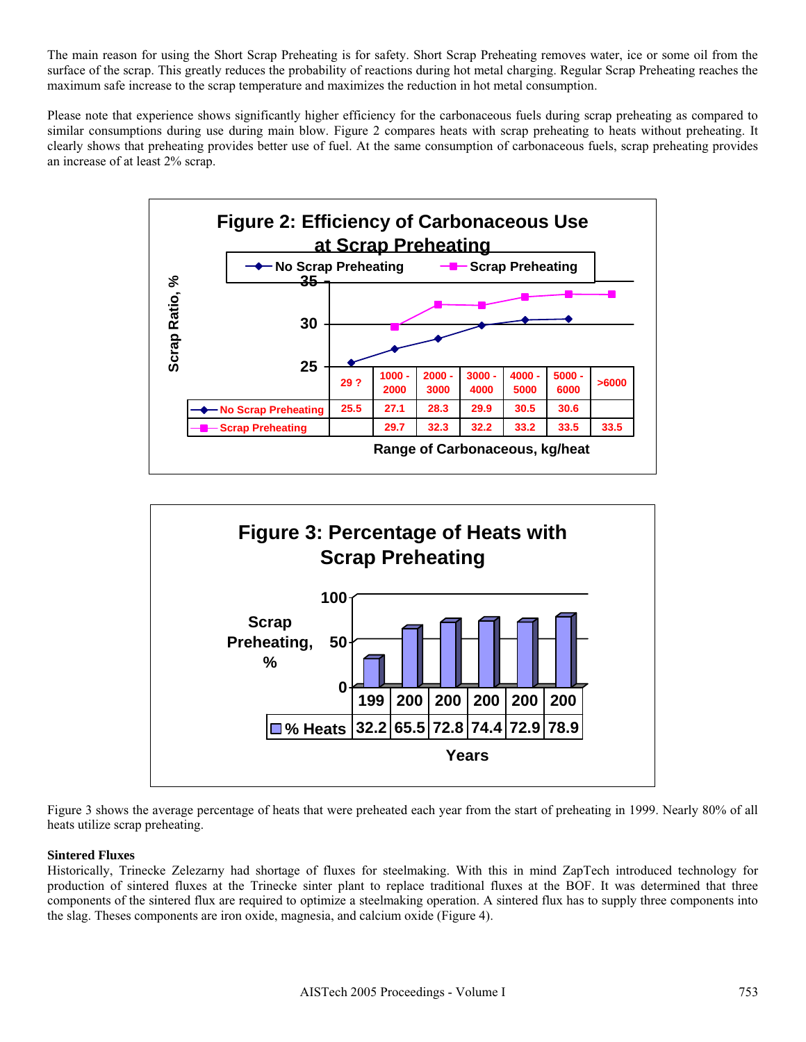The main reason for using the Short Scrap Preheating is for safety. Short Scrap Preheating removes water, ice or some oil from the surface of the scrap. This greatly reduces the probability of reactions during hot metal charging. Regular Scrap Preheating reaches the maximum safe increase to the scrap temperature and maximizes the reduction in hot metal consumption.

Please note that experience shows significantly higher efficiency for the carbonaceous fuels during scrap preheating as compared to similar consumptions during use during main blow. Figure 2 compares heats with scrap preheating to heats without preheating. It clearly shows that preheating provides better use of fuel. At the same consumption of carbonaceous fuels, scrap preheating provides an increase of at least 2% scrap.





Figure 3 shows the average percentage of heats that were preheated each year from the start of preheating in 1999. Nearly 80% of all heats utilize scrap preheating.

# **Sintered Fluxes**

Historically, Trinecke Zelezarny had shortage of fluxes for steelmaking. With this in mind ZapTech introduced technology for production of sintered fluxes at the Trinecke sinter plant to replace traditional fluxes at the BOF. It was determined that three components of the sintered flux are required to optimize a steelmaking operation. A sintered flux has to supply three components into the slag. Theses components are iron oxide, magnesia, and calcium oxide (Figure 4).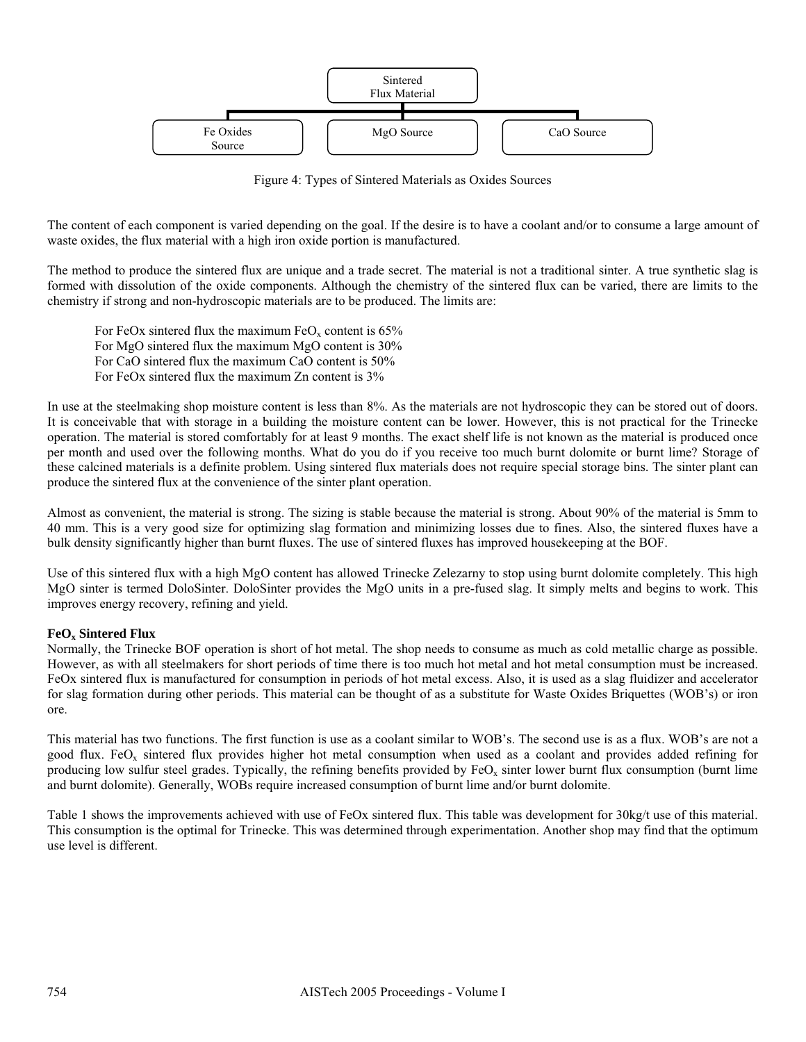

Figure 4: Types of Sintered Materials as Oxides Sources

The content of each component is varied depending on the goal. If the desire is to have a coolant and/or to consume a large amount of waste oxides, the flux material with a high iron oxide portion is manufactured.

The method to produce the sintered flux are unique and a trade secret. The material is not a traditional sinter. A true synthetic slag is formed with dissolution of the oxide components. Although the chemistry of the sintered flux can be varied, there are limits to the chemistry if strong and non-hydroscopic materials are to be produced. The limits are:

For FeOx sintered flux the maximum  $FeO<sub>x</sub>$  content is 65% For MgO sintered flux the maximum MgO content is 30% For CaO sintered flux the maximum CaO content is 50% For FeOx sintered flux the maximum Zn content is 3%

In use at the steelmaking shop moisture content is less than 8%. As the materials are not hydroscopic they can be stored out of doors. It is conceivable that with storage in a building the moisture content can be lower. However, this is not practical for the Trinecke operation. The material is stored comfortably for at least 9 months. The exact shelf life is not known as the material is produced once per month and used over the following months. What do you do if you receive too much burnt dolomite or burnt lime? Storage of these calcined materials is a definite problem. Using sintered flux materials does not require special storage bins. The sinter plant can produce the sintered flux at the convenience of the sinter plant operation.

Almost as convenient, the material is strong. The sizing is stable because the material is strong. About 90% of the material is 5mm to 40 mm. This is a very good size for optimizing slag formation and minimizing losses due to fines. Also, the sintered fluxes have a bulk density significantly higher than burnt fluxes. The use of sintered fluxes has improved housekeeping at the BOF.

Use of this sintered flux with a high MgO content has allowed Trinecke Zelezarny to stop using burnt dolomite completely. This high MgO sinter is termed DoloSinter. DoloSinter provides the MgO units in a pre-fused slag. It simply melts and begins to work. This improves energy recovery, refining and yield.

### **FeOx Sintered Flux**

Normally, the Trinecke BOF operation is short of hot metal. The shop needs to consume as much as cold metallic charge as possible. However, as with all steelmakers for short periods of time there is too much hot metal and hot metal consumption must be increased. FeOx sintered flux is manufactured for consumption in periods of hot metal excess. Also, it is used as a slag fluidizer and accelerator for slag formation during other periods. This material can be thought of as a substitute for Waste Oxides Briquettes (WOB's) or iron ore.

This material has two functions. The first function is use as a coolant similar to WOB's. The second use is as a flux. WOB's are not a good flux. FeO<sub>x</sub> sintered flux provides higher hot metal consumption when used as a coolant and provides added refining for producing low sulfur steel grades. Typically, the refining benefits provided by  $FeO<sub>x</sub>$  sinter lower burnt flux consumption (burnt lime and burnt dolomite). Generally, WOBs require increased consumption of burnt lime and/or burnt dolomite.

Table 1 shows the improvements achieved with use of FeOx sintered flux. This table was development for 30kg/t use of this material. This consumption is the optimal for Trinecke. This was determined through experimentation. Another shop may find that the optimum use level is different.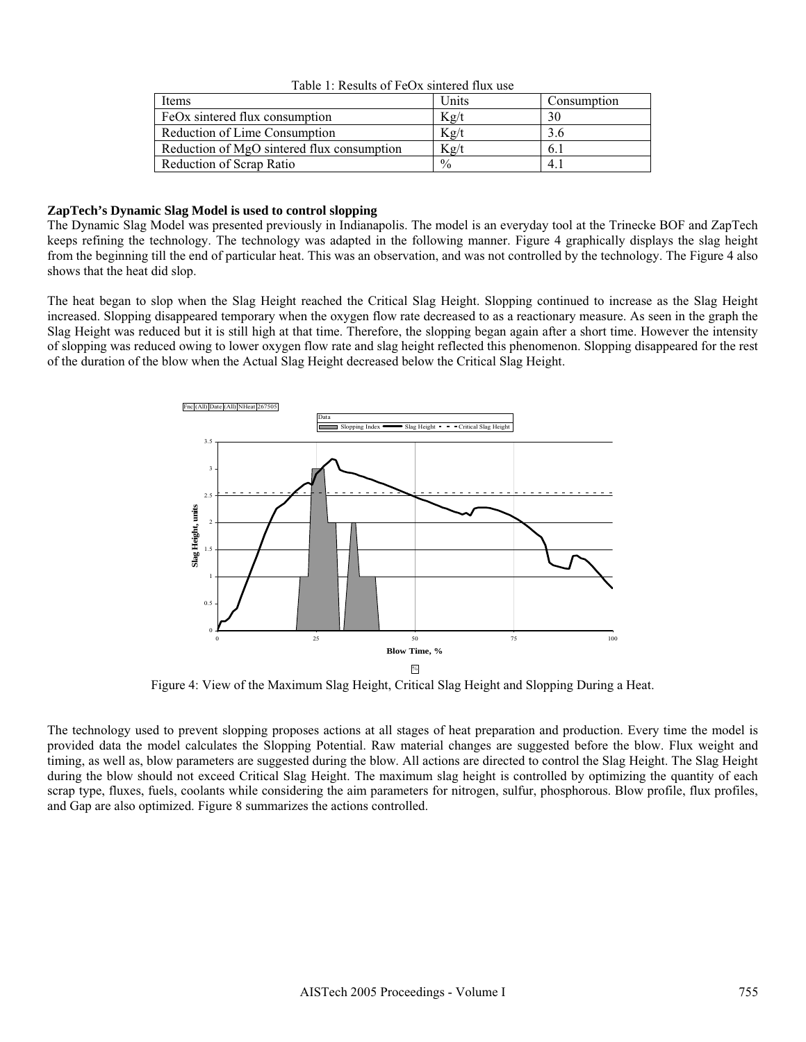| Items                                      | Units         | Consumption |
|--------------------------------------------|---------------|-------------|
| FeOx sintered flux consumption             | Kg/t          | 30          |
| Reduction of Lime Consumption              | Kg/t          | 3.6         |
| Reduction of MgO sintered flux consumption | Kg/t          | 6.1         |
| Reduction of Scrap Ratio                   | $\frac{0}{0}$ | 4.          |

Table 1: Results of FeOx sintered flux use

#### **ZapTech's Dynamic Slag Model is used to control slopping**

The Dynamic Slag Model was presented previously in Indianapolis. The model is an everyday tool at the Trinecke BOF and ZapTech keeps refining the technology. The technology was adapted in the following manner. Figure 4 graphically displays the slag height from the beginning till the end of particular heat. This was an observation, and was not controlled by the technology. The Figure 4 also shows that the heat did slop.

The heat began to slop when the Slag Height reached the Critical Slag Height. Slopping continued to increase as the Slag Height increased. Slopping disappeared temporary when the oxygen flow rate decreased to as a reactionary measure. As seen in the graph the Slag Height was reduced but it is still high at that time. Therefore, the slopping began again after a short time. However the intensity of slopping was reduced owing to lower oxygen flow rate and slag height reflected this phenomenon. Slopping disappeared for the rest of the duration of the blow when the Actual Slag Height decreased below the Critical Slag Height.



Figure 4: View of the Maximum Slag Height, Critical Slag Height and Slopping During a Heat.

The technology used to prevent slopping proposes actions at all stages of heat preparation and production. Every time the model is provided data the model calculates the Slopping Potential. Raw material changes are suggested before the blow. Flux weight and timing, as well as, blow parameters are suggested during the blow. All actions are directed to control the Slag Height. The Slag Height during the blow should not exceed Critical Slag Height. The maximum slag height is controlled by optimizing the quantity of each scrap type, fluxes, fuels, coolants while considering the aim parameters for nitrogen, sulfur, phosphorous. Blow profile, flux profiles, and Gap are also optimized. Figure 8 summarizes the actions controlled.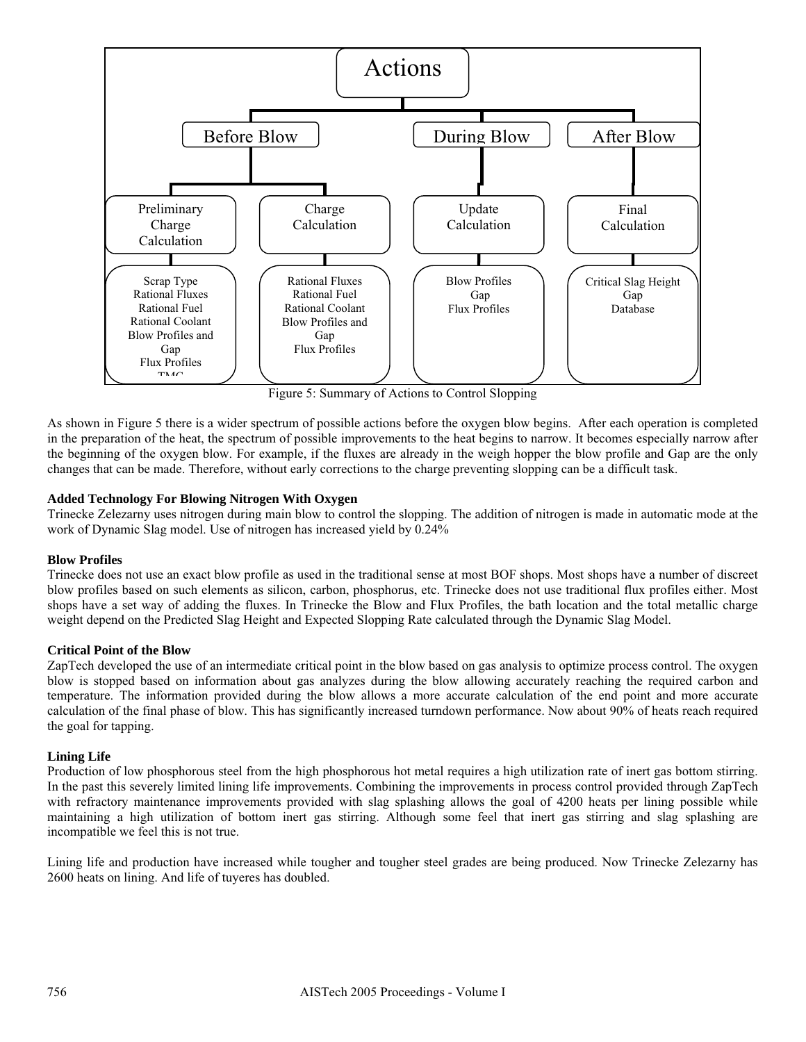

Figure 5: Summary of Actions to Control Slopping

As shown in Figure 5 there is a wider spectrum of possible actions before the oxygen blow begins. After each operation is completed in the preparation of the heat, the spectrum of possible improvements to the heat begins to narrow. It becomes especially narrow after the beginning of the oxygen blow. For example, if the fluxes are already in the weigh hopper the blow profile and Gap are the only changes that can be made. Therefore, without early corrections to the charge preventing slopping can be a difficult task.

## **Added Technology For Blowing Nitrogen With Oxygen**

Trinecke Zelezarny uses nitrogen during main blow to control the slopping. The addition of nitrogen is made in automatic mode at the work of Dynamic Slag model. Use of nitrogen has increased yield by 0.24%

### **Blow Profiles**

Trinecke does not use an exact blow profile as used in the traditional sense at most BOF shops. Most shops have a number of discreet blow profiles based on such elements as silicon, carbon, phosphorus, etc. Trinecke does not use traditional flux profiles either. Most shops have a set way of adding the fluxes. In Trinecke the Blow and Flux Profiles, the bath location and the total metallic charge weight depend on the Predicted Slag Height and Expected Slopping Rate calculated through the Dynamic Slag Model.

### **Critical Point of the Blow**

ZapTech developed the use of an intermediate critical point in the blow based on gas analysis to optimize process control. The oxygen blow is stopped based on information about gas analyzes during the blow allowing accurately reaching the required carbon and temperature. The information provided during the blow allows a more accurate calculation of the end point and more accurate calculation of the final phase of blow. This has significantly increased turndown performance. Now about 90% of heats reach required the goal for tapping.

### **Lining Life**

Production of low phosphorous steel from the high phosphorous hot metal requires a high utilization rate of inert gas bottom stirring. In the past this severely limited lining life improvements. Combining the improvements in process control provided through ZapTech with refractory maintenance improvements provided with slag splashing allows the goal of 4200 heats per lining possible while maintaining a high utilization of bottom inert gas stirring. Although some feel that inert gas stirring and slag splashing are incompatible we feel this is not true.

Lining life and production have increased while tougher and tougher steel grades are being produced. Now Trinecke Zelezarny has 2600 heats on lining. And life of tuyeres has doubled.